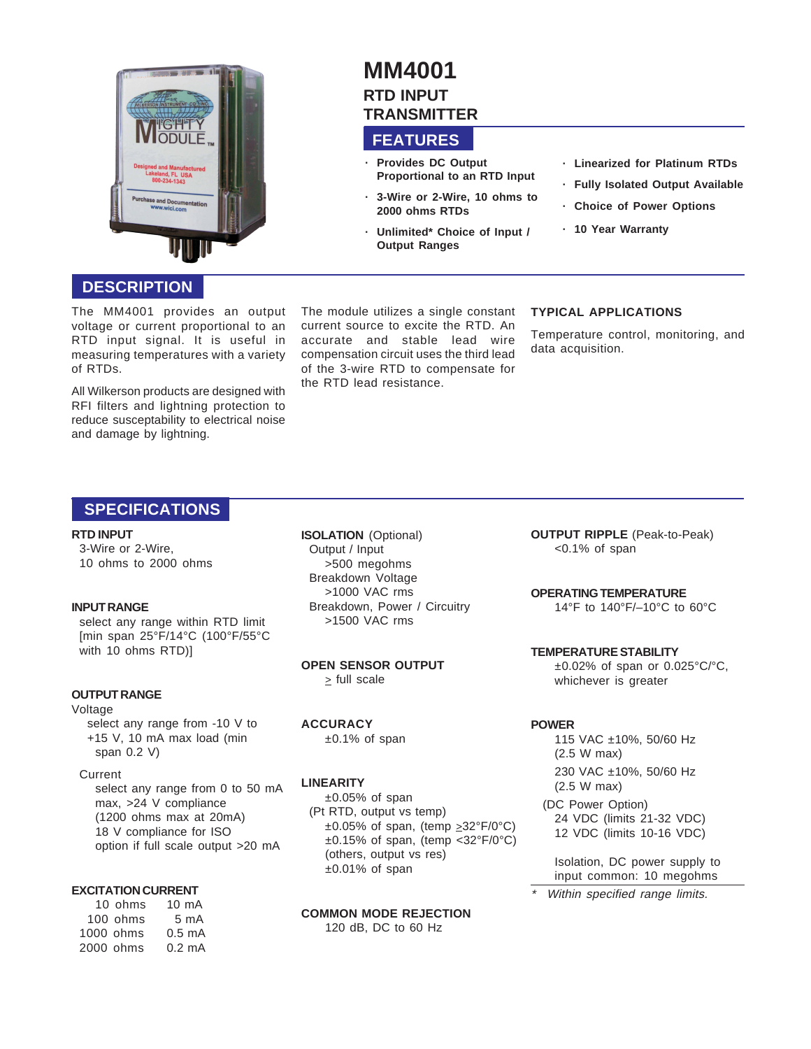

## **DESCRIPTION**

The MM4001 provides an output voltage or current proportional to an RTD input signal. It is useful in measuring temperatures with a variety of RTDs.

All Wilkerson products are designed with RFI filters and lightning protection to reduce susceptability to electrical noise and damage by lightning.

# **MM4001 RTD INPUT TRANSMITTER**

# **FEATURES**

- **· Provides DC Output Proportional to an RTD Input**
- **· 3-Wire or 2-Wire, 10 ohms to 2000 ohms RTDs**
- **· Unlimited\* Choice of Input / Output Ranges**
- **· Linearized for Platinum RTDs**
- **· Fully Isolated Output Available**
- **· Choice of Power Options**
- **· 10 Year Warranty**

#### The module utilizes a single constant current source to excite the RTD. An accurate and stable lead wire compensation circuit uses the third lead of the 3-wire RTD to compensate for the RTD lead resistance.

## **TYPICAL APPLICATIONS**

Temperature control, monitoring, and data acquisition.

## **SPECIFICATIONS**

#### **RTD INPUT**

3-Wire or 2-Wire, 10 ohms to 2000 ohms

#### **INPUT RANGE**

select any range within RTD limit [min span 25°F/14°C (100°F/55°C with 10 ohms RTD)]

## **OUTPUT RANGE**

#### Voltage

select any range from -10 V to +15 V, 10 mA max load (min span 0.2 V)

#### Current

select any range from 0 to 50 mA max, >24 V compliance (1200 ohms max at 20mA) 18 V compliance for ISO option if full scale output >20 mA

## **EXCITATION CURRENT**

| 10 ohms   | $10 \text{ mA}$  |
|-----------|------------------|
| 100 ohms  | $5 \text{ mA}$   |
| 1000 ohms | $0.5 \text{ mA}$ |
| 2000 ohms | $0.2 \text{ mA}$ |
|           |                  |

**ISOLATION** (Optional) Output / Input >500 megohms Breakdown Voltage >1000 VAC rms Breakdown, Power / Circuitry >1500 VAC rms

**OPEN SENSOR OUTPUT**  $\ge$  full scale

#### **ACCURACY**

±0.1% of span

## **LINEARITY**

 $±0.05%$  of span (Pt RTD, output vs temp)  $\pm 0.05\%$  of span, (temp  $\geq 32^{\circ}F/0^{\circ}C$ ) ±0.15% of span, (temp <32°F/0°C) (others, output vs res)  $±0.01\%$  of span

**COMMON MODE REJECTION** 120 dB, DC to 60 Hz

**OUTPUT RIPPLE** (Peak-to-Peak) <0.1% of span

#### **OPERATING TEMPERATURE**

14°F to 140°F/–10°C to 60°C

**TEMPERATURE STABILITY**  $\pm 0.02\%$  of span or 0.025°C/°C, whichever is greater

## **POWER**

\*

115 VAC ±10%, 50/60 Hz (2.5 W max) 230 VAC ±10%, 50/60 Hz (2.5 W max)

(DC Power Option) 24 VDC (limits 21-32 VDC) 12 VDC (limits 10-16 VDC)

Isolation, DC power supply to input common: 10 megohms

Within specified range limits.